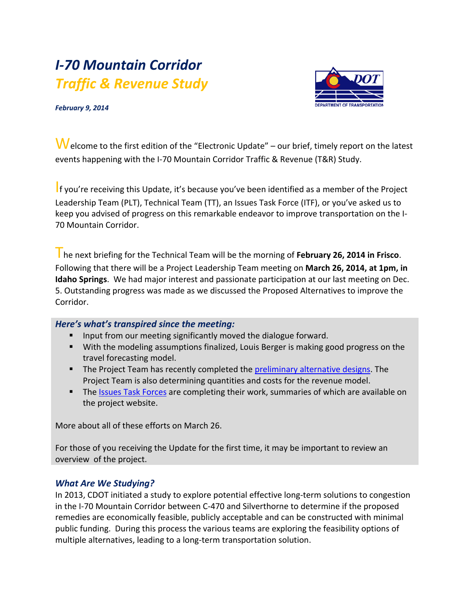# *I-70 Mountain Corridor Traffic & Revenue Study*



*February 9, 2014*

Welcome to the first edition of the "Electronic Update" – our brief, timely report on the latest events happening with the I-70 Mountain Corridor Traffic & Revenue (T&R) Study.

If you're receiving this Update, it's because you've been identified as a member of the Project Leadership Team (PLT), Technical Team (TT), an Issues Task Force (ITF), or you've asked us to keep you advised of progress on this remarkable endeavor to improve transportation on the I-70 Mountain Corridor.

The next briefing for the Technical Team will be the morning of **February 26, 2014 in Frisco**. Following that there will be a Project Leadership Team meeting on **March 26, 2014, at 1pm, in Idaho Springs**. We had major interest and passionate participation at our last meeting on Dec. 5. Outstanding progress was made as we discussed the Proposed Alternatives to improve the Corridor.

## *Here's what's transpired since the meeting:*

- **IF Input from our meeting significantly moved the dialogue forward.**
- With the modeling assumptions finalized, Louis Berger is making good progress on the travel forecasting model.
- The Project Team has recently completed the [preliminary alternative designs.](http://www.coloradodot.info/projects/i-70mountaincorridor/trafficrevenuestudy/alternatives) The Project Team is also determining quantities and costs for the revenue model.
- The [Issues Task Forces](http://www.coloradodot.info/projects/i-70mountaincorridor/trafficrevenuestudy/css-process/issue-task-forces) are completing their work, summaries of which are available on the project website.

More about all of these efforts on March 26.

For those of you receiving the Update for the first time, it may be important to review an overview of the project.

## *What Are We Studying?*

In 2013, CDOT initiated a study to explore potential effective long-term solutions to congestion in the I-70 Mountain Corridor between C-470 and Silverthorne to determine if the proposed remedies are economically feasible, publicly acceptable and can be constructed with minimal public funding. During this process the various teams are exploring the feasibility options of multiple alternatives, leading to a long-term transportation solution.